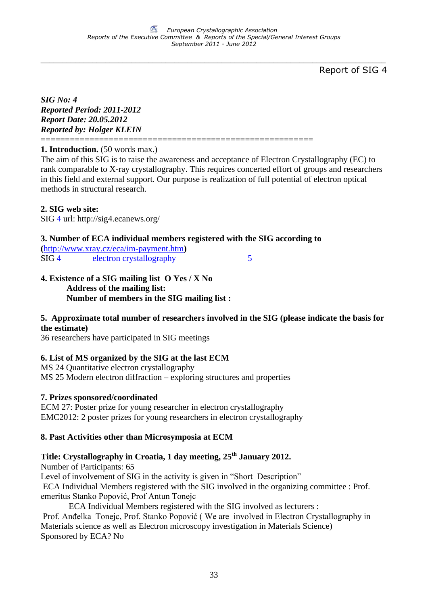\_\_\_\_\_\_\_\_\_\_\_\_\_\_\_\_\_\_\_\_\_\_\_\_\_\_\_\_\_\_\_\_\_\_\_\_\_\_\_\_\_\_\_\_\_\_\_\_\_\_\_\_\_\_\_\_\_\_\_\_\_\_\_\_\_\_\_\_\_\_\_\_\_\_\_\_\_\_\_\_

Report of SIG 4

*SIG No: 4 Reported Period: 2011-2012 Report Date: 20.05.2012 Reported by: Holger KLEIN*

**1. Introduction.** (50 words max.)

The aim of this SIG is to raise the awareness and acceptance of Electron Crystallography (EC) to rank comparable to X-ray crystallography. This requires concerted effort of groups and researchers in this field and external support. Our purpose is realization of full potential of electron optical methods in structural research.

### **2. SIG web site:**

SIG 4 url: http://sig4.ecanews.org/

### **3. Number of ECA individual members registered with the SIG according to**

========================================================

**(**<http://www.xray.cz/eca/im-payment.htm>**)** SIG 4 electron crystallography 5

#### **4. Existence of a SIG mailing list O Yes / X No Address of the mailing list: Number of members in the SIG mailing list :**

### **5. Approximate total number of researchers involved in the SIG (please indicate the basis for the estimate)**

36 researchers have participated in SIG meetings

### **6. List of MS organized by the SIG at the last ECM**

MS 24 Quantitative electron crystallography MS 25 Modern electron diffraction – exploring structures and properties

### **7. Prizes sponsored/coordinated**

ECM 27: Poster prize for young researcher in electron crystallography EMC2012: 2 poster prizes for young researchers in electron crystallography

### **8. Past Activities other than Microsymposia at ECM**

# **Title: Crystallography in Croatia, 1 day meeting, 25th January 2012.**

Number of Participants: 65

Level of involvement of SIG in the activity is given in "Short Description"

ECA Individual Members registered with the SIG involved in the organizing committee : Prof. emeritus Stanko Popović, Prof Antun Tonejc

ECA Individual Members registered with the SIG involved as lecturers :

Prof. Anđelka Tonejc, Prof. Stanko Popović ( We are involved in Electron Crystallography in Materials science as well as Electron microscopy investigation in Materials Science) Sponsored by ECA? No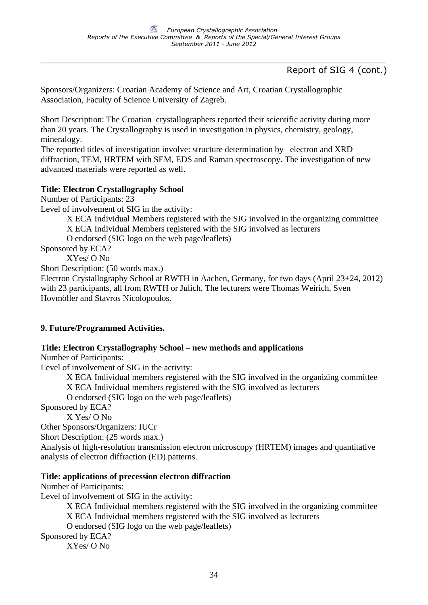\_\_\_\_\_\_\_\_\_\_\_\_\_\_\_\_\_\_\_\_\_\_\_\_\_\_\_\_\_\_\_\_\_\_\_\_\_\_\_\_\_\_\_\_\_\_\_\_\_\_\_\_\_\_\_\_\_\_\_\_\_\_\_\_\_\_\_\_\_\_\_\_\_\_\_\_\_\_\_\_

## Report of SIG 4 (cont.)

Sponsors/Organizers: Croatian Academy of Science and Art, Croatian Crystallographic Association, Faculty of Science University of Zagreb.

Short Description: The Croatian crystallographers reported their scientific activity during more than 20 years. The Crystallography is used in investigation in physics, chemistry, geology, mineralogy.

The reported titles of investigation involve: structure determination by electron and XRD diffraction, TEM, HRTEM with SEM, EDS and Raman spectroscopy. The investigation of new advanced materials were reported as well.

### **Title: Electron Crystallography School**

Number of Participants: 23

Level of involvement of SIG in the activity:

X ECA Individual Members registered with the SIG involved in the organizing committee

X ECA Individual Members registered with the SIG involved as lecturers

O endorsed (SIG logo on the web page/leaflets)

Sponsored by ECA?

XYes/ O No

Short Description: (50 words max.)

Electron Crystallography School at RWTH in Aachen, Germany, for two days (April 23+24, 2012) with 23 participants, all from RWTH or Julich. The lecturers were Thomas Weirich, Sven Hovmöller and Stavros Nicolopoulos.

### **9. Future/Programmed Activities.**

### **Title: Electron Crystallography School – new methods and applications**

Number of Participants:

Level of involvement of SIG in the activity:

X ECA Individual members registered with the SIG involved in the organizing committee

X ECA Individual members registered with the SIG involved as lecturers

O endorsed (SIG logo on the web page/leaflets)

Sponsored by ECA?

X Yes/ O No

Other Sponsors/Organizers: IUCr

Short Description: (25 words max.)

Analysis of high-resolution transmission electron microscopy (HRTEM) images and quantitative analysis of electron diffraction (ED) patterns.

### **Title: applications of precession electron diffraction**

Number of Participants:

Level of involvement of SIG in the activity:

X ECA Individual members registered with the SIG involved in the organizing committee

X ECA Individual members registered with the SIG involved as lecturers

O endorsed (SIG logo on the web page/leaflets)

Sponsored by ECA?

XYes/ O No